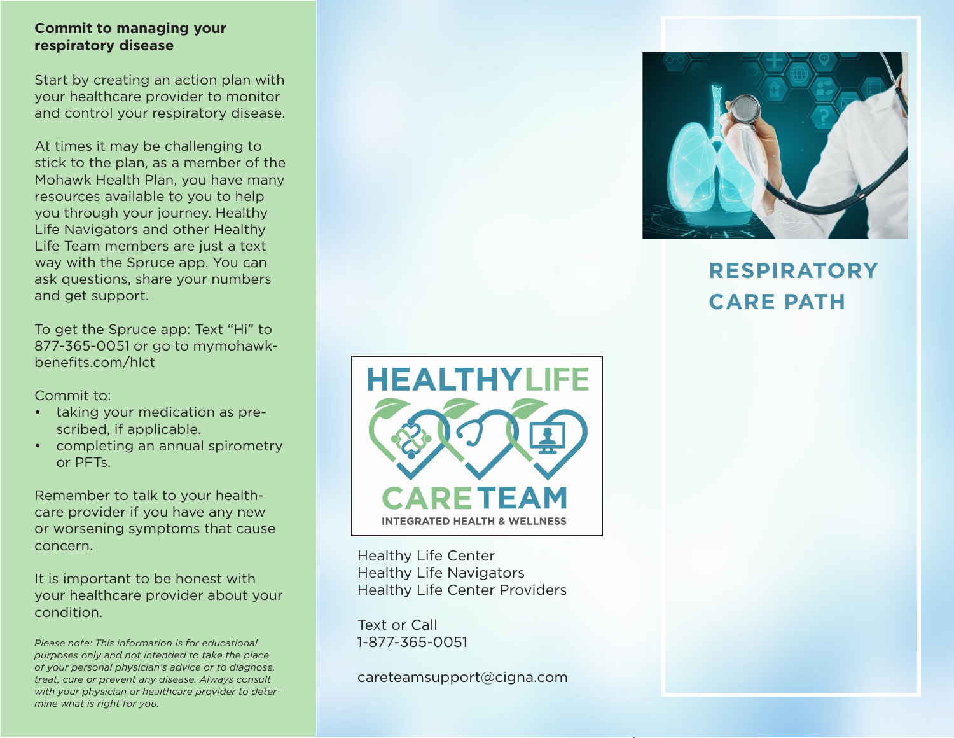#### **Commit to managing your respiratory disease**

Start by creating an action plan with your healthcare provider to monitor and control your respiratory disease.

At times it may be challenging to stick to the plan, as a member of the Mohawk Health Plan, you have many resources available to you to help you through your journey. Healthy Life Navigators and other Healthy Life Team members are just a text way with the Spruce app. You can ask questions, share your numbers and get support.

To get the Spruce app: Text "Hi" to 877-365-0051 or go to mymohawkbenefits.com/hlct

Commit to:

- taking your medication as prescribed, if applicable.
- completing an annual spirometry or PFTs.

Remember to talk to your healthcare provider if you have any new or worsening symptoms that cause concern.

It is important to be honest with your healthcare provider about your condition.

*Please note: This information is for educational purposes only and not intended to take the place of your personal physician's advice or to diagnose, treat, cure or prevent any disease. Always consult with your physician or healthcare provider to determine what is right for you.*



Healthy Life Center Healthy Life Navigators Healthy Life Center Providers

Text or Call 1-877-365-0051

careteamsupport@cigna.com



# **RESPIRATORY CARE PATH**